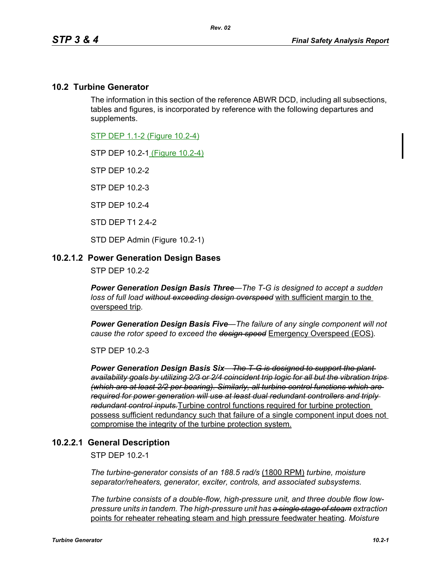## **10.2 Turbine Generator**

The information in this section of the reference ABWR DCD, including all subsections, tables and figures, is incorporated by reference with the following departures and supplements.

STP DEP 1.1-2 (Figure 10.2-4)

STP DEP 10.2-1 (Figure 10.2-4)

STP DEP 10.2-2

STP DEP 10.2-3

STP DEP 10.2-4

STD DEP T1 2.4-2

STD DEP Admin (Figure 10.2-1)

#### **10.2.1.2 Power Generation Design Bases**

STP DEP 10.2-2

*Power Generation Design Basis Three—The T-G is designed to accept a sudden loss of full load without exceeding design overspeed* with sufficient margin to the overspeed trip*.* 

*Power Generation Design Basis Five—The failure of any single component will not cause the rotor speed to exceed the design speed* Emergency Overspeed (EOS)*.* 

STP DEP 10.2-3

*Power Generation Design Basis Six—The T-G is designed to support the plant availability goals by utilizing 2/3 or 2/4 coincident trip logic for all but the vibration trips (which are at least 2/2 per bearing). Similarly, all turbine control functions which are required for power generation will use at least dual redundant controllers and triply redundant control inputs.*Turbine control functions required for turbine protection possess sufficient redundancy such that failure of a single component input does not compromise the integrity of the turbine protection system.

## **10.2.2.1 General Description**

STP DEP 10.2-1

*The turbine-generator consists of an 188.5 rad/s* (1800 RPM) *turbine, moisture separator/reheaters, generator, exciter, controls, and associated subsystems.*

*The turbine consists of a double-flow, high-pressure unit, and three double flow lowpressure units in tandem. The high-pressure unit has a single stage of steam extraction*  points for reheater reheating steam and high pressure feedwater heating*. Moisture*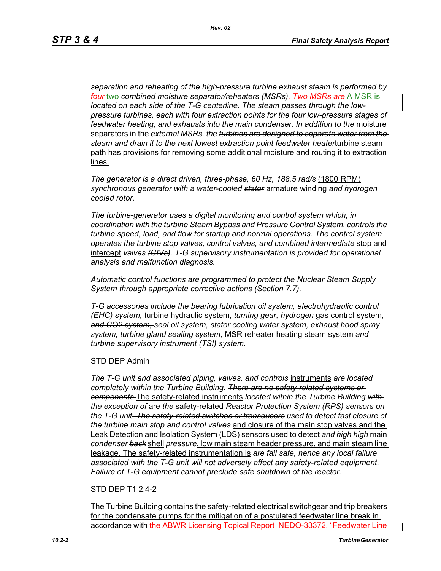*separation and reheating of the high-pressure turbine exhaust steam is performed by four* two *combined moisture separator/reheaters (MSRs). Two MSRs are* A MSR is *located on each side of the T-G centerline. The steam passes through the lowpressure turbines, each with four extraction points for the four low-pressure stages of feedwater heating, and exhausts into the main condenser. In addition to the* moisture separators in the *external MSRs, the turbines are designed to separate water from the steam and drain it to the next lowest extraction point feedwater heater*turbine steam path has provisions for removing some additional moisture and routing it to extraction lines.

*The generator is a direct driven, three-phase, 60 Hz, 188.5 rad/s* (1800 RPM) *synchronous generator with a water-cooled stator* armature winding *and hydrogen cooled rotor.*

*The turbine-generator uses a digital monitoring and control system which, in coordination with the turbine Steam Bypass and Pressure Control System, controls the turbine speed, load, and flow for startup and normal operations. The control system operates the turbine stop valves, control valves, and combined intermediate* stop and intercept *valves (CIVs). T-G supervisory instrumentation is provided for operational analysis and malfunction diagnosis.*

*Automatic control functions are programmed to protect the Nuclear Steam Supply System through appropriate corrective actions (Section 7.7).*

*T-G accessories include the bearing lubrication oil system, electrohydraulic control (EHC) system,* turbine hydraulic system, *turning gear, hydrogen* gas control system*, and CO2 system, seal oil system, stator cooling water system, exhaust hood spray system, turbine gland sealing system,* MSR reheater heating steam system *and turbine supervisory instrument (TSI) system.*

#### STD DEP Admin

*The T-G unit and associated piping, valves, and controls* instruments *are located completely within the Turbine Building. There are no safety-related systems or components* The safety-related instruments *located within the Turbine Building with the exception of* are *the* safety-related *Reactor Protection System (RPS) sensors on the T-G unit. The safety-related switches or transducers used to detect fast closure of the turbine main stop and control valves* and closure of the main stop valves and the Leak Detection and Isolation System (LDS) sensors used to detect *and high high* main *condenser back* shell *pressure*, low main steam header pressure, and main steam line leakage. The safety-related instrumentation is *are fail safe, hence any local failure associated with the T-G unit will not adversely affect any safety-related equipment. Failure of T-G equipment cannot preclude safe shutdown of the reactor.*

## STD DEP T1 2.4-2

The Turbine Building contains the safety-related electrical switchgear and trip breakers for the condensate pumps for the mitigation of a postulated feedwater line break in accordance with the ABWR Licensing Topical Report NEDO 33372, "Feedwater Line

П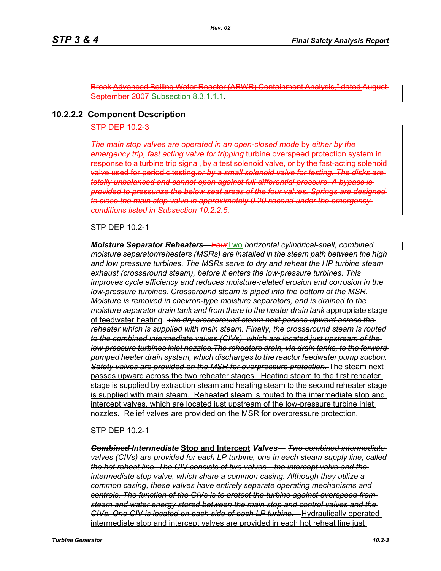Break Advanced Boiling Water Reactor (ABWR) Containment Analysis September 2007 Subsection 8.3.1.1.1.

#### **10.2.2.2 Component Description**

#### STP DEP 10.2-3

*The main stop valves are operated in an open-closed mode* by *either by the emergency trip, fast acting valve for tripping* turbine overspeed protection system in response to a turbine trip signal, by a test solenoid valve, or by the fast-acting solenoidvalve used for periodic testing.*or by a small solenoid valve for testing. The disks are totally unbalanced and cannot open against full differential pressure. A bypass is provided to pressurize the below seat areas of the four valves. Springs are designed to close the main stop valve in approximately 0.20 second under the emergency conditions listed in Subsection 10.2.2.5.*

### STP DEP 10.2-1

*Moisture Separator Reheaters—Four*Two *horizontal cylindrical-shell, combined moisture separator/reheaters (MSRs) are installed in the steam path between the high and low pressure turbines. The MSRs serve to dry and reheat the HP turbine steam exhaust (crossaround steam), before it enters the low-pressure turbines. This improves cycle efficiency and reduces moisture-related erosion and corrosion in the low-pressure turbines. Crossaround steam is piped into the bottom of the MSR. Moisture is removed in chevron-type moisture separators, and is drained to the moisture separator drain tank and from there to the heater drain tank* appropriate stage of feedwater heating*. The dry crossaround steam next passes upward across the reheater which is supplied with main steam. Finally, the crossaround steam is routed to the combined intermediate valves (CIVs), which are located just upstream of the low-pressure turbines inlet nozzles.The reheaters drain, via drain tanks, to the forward pumped heater drain system, which discharges to the reactor feedwater pump suction. Safety valves are provided on the MSR for overpressure protection.* The steam next passes upward across the two reheater stages. Heating steam to the first reheater stage is supplied by extraction steam and heating steam to the second reheater stage is supplied with main steam. Reheated steam is routed to the intermediate stop and intercept valves, which are located just upstream of the low-pressure turbine inlet nozzles. Relief valves are provided on the MSR for overpressure protection.

#### STP DEP 10.2-1

*Combined Intermediate* **Stop and Intercept** *Valves— Two combined intermediate valves (CIVs) are provided for each LP turbine, one in each steam supply line, called the hot reheat line. The CIV consists of two valves—the intercept valve and the intermediate stop valve, which share a common casing. Although they utilize a common casing, these valves have entirely separate operating mechanisms and controls. The function of the CIVs is to protect the turbine against overspeed from steam and water energy stored between the main stop and control valves and the CIVs. One CIV is located on each side of each LP turbine.--* Hydraulically operated intermediate stop and intercept valves are provided in each hot reheat line just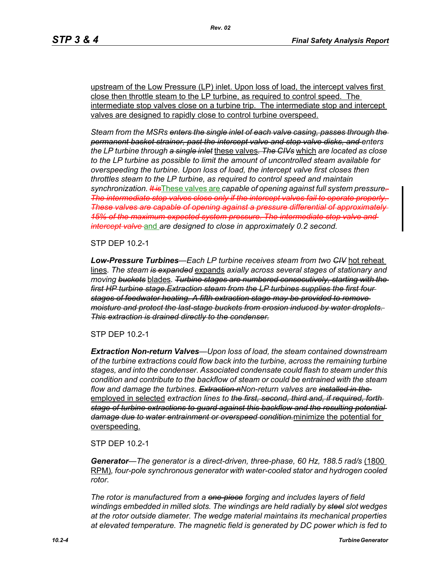upstream of the Low Pressure (LP) inlet. Upon loss of load, the intercept valves first close then throttle steam to the LP turbine, as required to control speed. The intermediate stop valves close on a turbine trip. The intermediate stop and intercept valves are designed to rapidly close to control turbine overspeed.

*Steam from the MSRs enters the single inlet of each valve casing, passes through the permanent basket strainer, past the intercept valve and stop valve disks, and enters the LP turbine through a single inlet* these valves*. The CIVs* which *are located as close to the LP turbine as possible to limit the amount of uncontrolled steam available for overspeeding the turbine. Upon loss of load, the intercept valve first closes then throttles steam to the LP turbine, as required to control speed and maintain synchronization. It is*These valves are *capable of opening against full system pressure. The intermediate stop valves close only if the intercept valves fail to operate properly. These valves are capable of opening against a pressure differential of approximately 15% of the maximum expected system pressure. The intermediate stop valve and intercept valve* and *are designed to close in approximately 0.2 second.* 

STP DEP 10.2-1

*Low-Pressure Turbines—Each LP turbine receives steam from two CIV* hot reheat lines*. The steam is expanded* expands *axially across several stages of stationary and moving buckets* blades*. Turbine stages are numbered consecutively, starting with the first HP turbine stage.Extraction steam from the LP turbines supplies the first four stages of feedwater heating. A fifth extraction stage may be provided to remove moisture and protect the last-stage buckets from erosion induced by water droplets. This extraction is drained directly to the condenser.*

STP DEP 10.2-1

*Extraction Non-return Valves—Upon loss of load, the steam contained downstream of the turbine extractions could flow back into the turbine, across the remaining turbine stages, and into the condenser. Associated condensate could flash to steam under this condition and contribute to the backflow of steam or could be entrained with the steam flow and damage the turbines. Extraction nNon-return valves are installed in the*  employed in selected *extraction lines to the first, second, third and, if required, forth stage of turbine extractions to guard against this backflow and the resulting potential damage due to water entrainment or overspeed condition.*minimize the potential for overspeeding.

STP DEP 10.2-1

*Generator—The generator is a direct-driven, three-phase, 60 Hz, 188.5 rad/s* (1800 RPM)*, four-pole synchronous generator with water-cooled stator and hydrogen cooled rotor.*

*The rotor is manufactured from a one-piece forging and includes layers of field windings embedded in milled slots. The windings are held radially by steel slot wedges at the rotor outside diameter. The wedge material maintains its mechanical properties at elevated temperature. The magnetic field is generated by DC power which is fed to*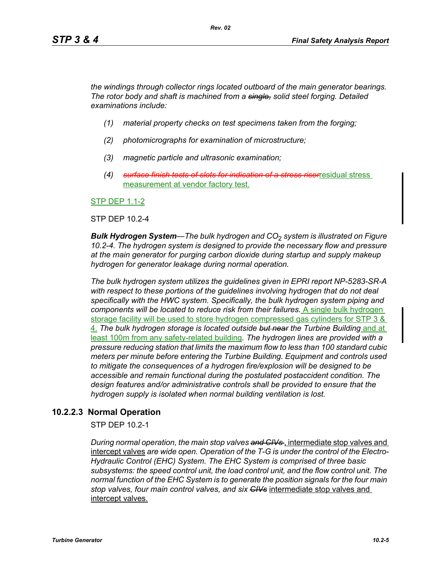*the windings through collector rings located outboard of the main generator bearings. The rotor body and shaft is machined from a single, solid steel forging. Detailed examinations include:* 

- *(1) material property checks on test specimens taken from the forging;*
- *(2) photomicrographs for examination of microstructure;*
- *(3) magnetic particle and ultrasonic examination;*
- *(4) surface finish tests of slots for indication of a stress riser*residual stress measurement at vendor factory test.

STP DEP 1.1-2

#### STP DEP 10.2-4

*Bulk Hydrogen System—The bulk hydrogen and CO*2 *system is illustrated on Figure 10.2-4. The hydrogen system is designed to provide the necessary flow and pressure at the main generator for purging carbon dioxide during startup and supply makeup hydrogen for generator leakage during normal operation.*

*The bulk hydrogen system utilizes the guidelines given in EPRI report NP-5283-SR-A*  with respect to these portions of the guidelines involving hydrogen that do not deal *specifically with the HWC system. Specifically, the bulk hydrogen system piping and components will be located to reduce risk from their failures.* A single bulk hydrogen storage facility will be used to store hydrogen compressed gas cylinders for STP 3 & 4. *The bulk hydrogen storage is located outside but near the Turbine Building* and at least 100m from any safety-related building*. The hydrogen lines are provided with a pressure reducing station that limits the maximum flow to less than 100 standard cubic meters per minute before entering the Turbine Building. Equipment and controls used to mitigate the consequences of a hydrogen fire/explosion will be designed to be accessible and remain functional during the postulated postaccident condition. The design features and/or administrative controls shall be provided to ensure that the hydrogen supply is isolated when normal building ventilation is lost.*

## **10.2.2.3 Normal Operation**

STP DEP 10.2-1

*During normal operation, the main stop valves and CIVs* , intermediate stop valves and intercept valves *are wide open. Operation of the T-G is under the control of the Electro-Hydraulic Control (EHC) System. The EHC System is comprised of three basic subsystems: the speed control unit, the load control unit, and the flow control unit. The normal function of the EHC System is to generate the position signals for the four main stop valves, four main control valves, and six CIVs* intermediate stop valves and intercept valves.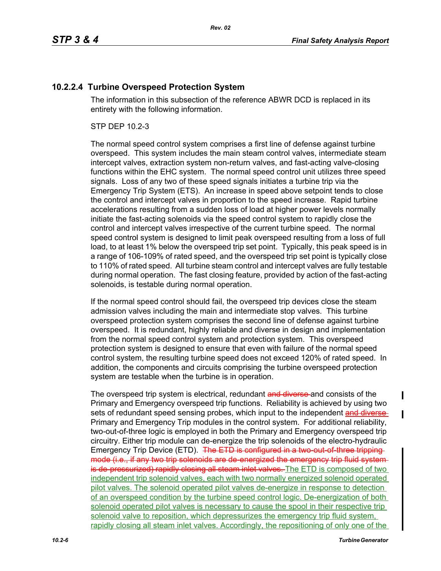# **10.2.2.4 Turbine Overspeed Protection System**

The information in this subsection of the reference ABWR DCD is replaced in its entirety with the following information.

## STP DEP 10.2-3

The normal speed control system comprises a first line of defense against turbine overspeed. This system includes the main steam control valves, intermediate steam intercept valves, extraction system non-return valves, and fast-acting valve-closing functions within the EHC system. The normal speed control unit utilizes three speed signals. Loss of any two of these speed signals initiates a turbine trip via the Emergency Trip System (ETS). An increase in speed above setpoint tends to close the control and intercept valves in proportion to the speed increase. Rapid turbine accelerations resulting from a sudden loss of load at higher power levels normally initiate the fast-acting solenoids via the speed control system to rapidly close the control and intercept valves irrespective of the current turbine speed. The normal speed control system is designed to limit peak overspeed resulting from a loss of full load, to at least 1% below the overspeed trip set point. Typically, this peak speed is in a range of 106-109% of rated speed, and the overspeed trip set point is typically close to 110% of rated speed. All turbine steam control and intercept valves are fully testable during normal operation. The fast closing feature, provided by action of the fast-acting solenoids, is testable during normal operation.

If the normal speed control should fail, the overspeed trip devices close the steam admission valves including the main and intermediate stop valves. This turbine overspeed protection system comprises the second line of defense against turbine overspeed. It is redundant, highly reliable and diverse in design and implementation from the normal speed control system and protection system. This overspeed protection system is designed to ensure that even with failure of the normal speed control system, the resulting turbine speed does not exceed 120% of rated speed. In addition, the components and circuits comprising the turbine overspeed protection system are testable when the turbine is in operation.

The overspeed trip system is electrical, redundant and diverse and consists of the Primary and Emergency overspeed trip functions. Reliability is achieved by using two sets of redundant speed sensing probes, which input to the independent and diverse Primary and Emergency Trip modules in the control system. For additional reliability, two-out-of-three logic is employed in both the Primary and Emergency overspeed trip circuitry. Either trip module can de-energize the trip solenoids of the electro-hydraulic Emergency Trip Device (ETD). The ETD is configured in a two-out-of-three trippingmode (i.e., if any two trip solenoids are de energized the emergency trip fluid systemis de pressurized) rapidly closing all steam inlet valves. The ETD is composed of two independent trip solenoid valves, each with two normally energized solenoid operated pilot valves. The solenoid operated pilot valves de-energize in response to detection of an overspeed condition by the turbine speed control logic. De-energization of both solenoid operated pilot valves is necessary to cause the spool in their respective trip solenoid valve to reposition, which depressurizes the emergency trip fluid system, rapidly closing all steam inlet valves. Accordingly, the repositioning of only one of the

 $\mathbf I$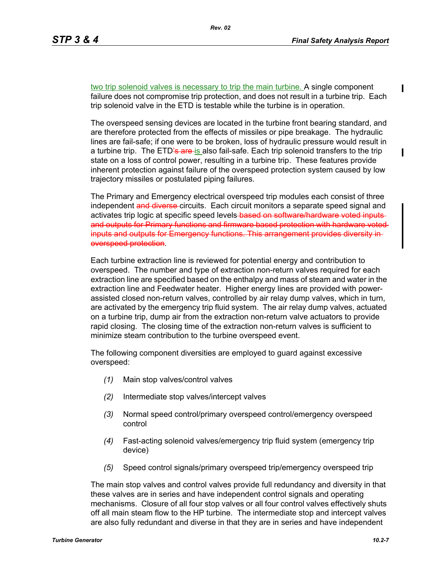$\blacksquare$ 

two trip solenoid valves is necessary to trip the main turbine. A single component failure does not compromise trip protection, and does not result in a turbine trip. Each trip solenoid valve in the ETD is testable while the turbine is in operation.

The overspeed sensing devices are located in the turbine front bearing standard, and are therefore protected from the effects of missiles or pipe breakage. The hydraulic lines are fail-safe; if one were to be broken, loss of hydraulic pressure would result in a turbine trip. The ETD's are is also fail-safe. Each trip solenoid transfers to the trip state on a loss of control power, resulting in a turbine trip. These features provide inherent protection against failure of the overspeed protection system caused by low trajectory missiles or postulated piping failures.

The Primary and Emergency electrical overspeed trip modules each consist of three independent and diverse circuits. Each circuit monitors a separate speed signal and activates trip logic at specific speed levels-based on software/hardware voted inputsand outputs for Primary functions and firmware based protection with hardware voted inputs and outputs for Emergency functions. This arrangement provides diversity inoverspeed protection.

Each turbine extraction line is reviewed for potential energy and contribution to overspeed. The number and type of extraction non-return valves required for each extraction line are specified based on the enthalpy and mass of steam and water in the extraction line and Feedwater heater. Higher energy lines are provided with powerassisted closed non-return valves, controlled by air relay dump valves, which in turn, are activated by the emergency trip fluid system. The air relay dump valves, actuated on a turbine trip, dump air from the extraction non-return valve actuators to provide rapid closing. The closing time of the extraction non-return valves is sufficient to minimize steam contribution to the turbine overspeed event.

The following component diversities are employed to guard against excessive overspeed:

- *(1)* Main stop valves/control valves
- *(2)* Intermediate stop valves/intercept valves
- *(3)* Normal speed control/primary overspeed control/emergency overspeed control
- *(4)* Fast-acting solenoid valves/emergency trip fluid system (emergency trip device)
- *(5)* Speed control signals/primary overspeed trip/emergency overspeed trip

The main stop valves and control valves provide full redundancy and diversity in that these valves are in series and have independent control signals and operating mechanisms. Closure of all four stop valves or all four control valves effectively shuts off all main steam flow to the HP turbine. The intermediate stop and intercept valves are also fully redundant and diverse in that they are in series and have independent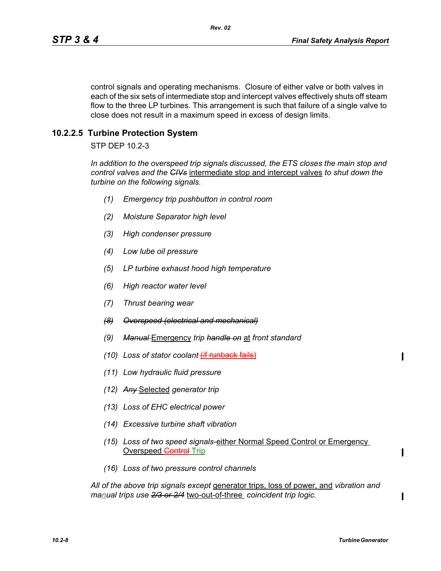control signals and operating mechanisms. Closure of either valve or both valves in each of the six sets of intermediate stop and intercept valves effectively shuts off steam flow to the three LP turbines. This arrangement is such that failure of a single valve to close does not result in a maximum speed in excess of design limits.

# **10.2.2.5 Turbine Protection System**

STP DEP 10.2-3

*In addition to the overspeed trip signals discussed, the ETS closes the main stop and control valves and the CIVs* intermediate stop and intercept valves *to shut down the turbine on the following signals.*

- *(1) Emergency trip pushbutton in control room*
- *(2) Moisture Separator high level*
- *(3) High condenser pressure*
- *(4) Low lube oil pressure*
- *(5) LP turbine exhaust hood high temperature*
- *(6) High reactor water level*
- *(7) Thrust bearing wear*
- *(8) Overspeed (electrical and mechanical)*
- *(9) Manual* Emergency *trip handle on* at *front standard*
- *(10) Loss of stator coolant* (if runback fails)
- *(11) Low hydraulic fluid pressure*
- *(12) Any* Selected *generator trip*
- *(13) Loss of EHC electrical power*
- *(14) Excessive turbine shaft vibration*
- *(15) Loss of two speed signals*-either Normal Speed Control or Emergency Overspeed **Control** Trip
- *(16) Loss of two pressure control channels*

*All of the above trip signals except* generator trips, loss of power, and *vibration and manual trips use 2/3 or 2/4* two-out-of-three *coincident trip logic.*

 $\mathbf I$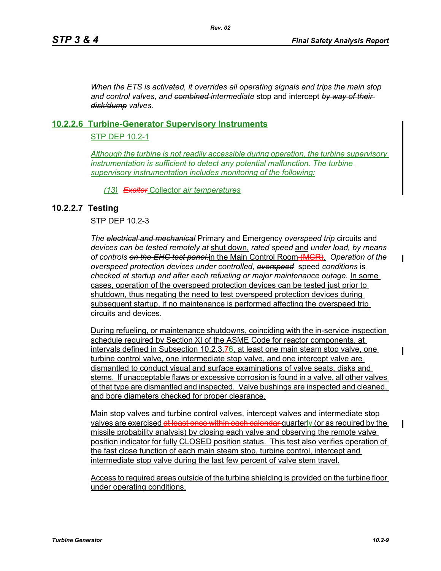*When the ETS is activated, it overrides all operating signals and trips the main stop and control valves, and combined intermediate* stop and intercept *by way of their disk/dump valves.*

# **10.2.2.6 Turbine-Generator Supervisory Instruments**

# STP DEP 10.2-1

*Although the turbine is not readily accessible during operation, the turbine supervisory instrumentation is sufficient to detect any potential malfunction. The turbine supervisory instrumentation includes monitoring of the following:*

*(13) Exciter* Collector *air temperatures*

# **10.2.2.7 Testing**

STP DEP 10.2-3

*The electrical and mechanical* Primary and Emergency *overspeed trip* circuits and *devices can be tested remotely at* shut down, *rated speed* and *under load, by means of controls on the EHC test panel.*in the Main Control Room (MCR). *Operation of the overspeed protection devices under controlled, overspeed* speed *conditions* is *checked at startup and after each refueling or major maintenance outage.* In some cases, operation of the overspeed protection devices can be tested just prior to shutdown, thus negating the need to test overspeed protection devices during subsequent startup, if no maintenance is performed affecting the overspeed trip circuits and devices.

During refueling, or maintenance shutdowns, coinciding with the in-service inspection schedule required by Section XI of the ASME Code for reactor components, at intervals defined in Subsection 10.2.3. $76$ , at least one main steam stop valve, one turbine control valve, one intermediate stop valve, and one intercept valve are dismantled to conduct visual and surface examinations of valve seats, disks and stems. If unacceptable flaws or excessive corrosion is found in a valve, all other valves of that type are dismantled and inspected. Valve bushings are inspected and cleaned, and bore diameters checked for proper clearance.

Main stop valves and turbine control valves, intercept valves and intermediate stop valves are exercised at least once within each calendar quarterly (or as required by the missile probability analysis) by closing each valve and observing the remote valve position indicator for fully CLOSED position status. This test also verifies operation of the fast close function of each main steam stop, turbine control, intercept and intermediate stop valve during the last few percent of valve stem travel.

Access to required areas outside of the turbine shielding is provided on the turbine floor under operating conditions.

 $\blacksquare$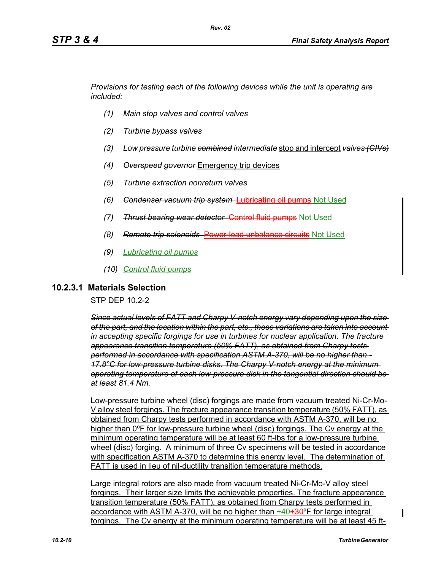*Provisions for testing each of the following devices while the unit is operating are included:*

- *(1) Main stop valves and control valves*
- *(2) Turbine bypass valves*
- *(3) Low pressure turbine combined intermediate* stop and intercept *valves (CIVs)*
- *(4) Overspeed governor* Emergency trip devices
- *(5) Turbine extraction nonreturn valves*
- *(6) Condenser vacuum trip system* Lubricating oil pumps Not Used
- *(7) Thrust bearing wear detector* Control fluid pumps Not Used
- *(8) Remote trip solenoids* Power-load unbalance circuits Not Used
- *(9) Lubricating oil pumps*
- *(10) Control fluid pumps*

### **10.2.3.1 Materials Selection**

STP DEP 10.2-2

*Since actual levels of FATT and Charpy V-notch energy vary depending upon the size of the part, and the location within the part, etc., these variations are taken into account in accepting specific forgings for use in turbines for nuclear application. The fracture appearance transition temperature (50% FATT), as obtained from Charpy tests performed in accordance with specification ASTM A-370, will be no higher than - 17.8°C for low-pressure turbine disks. The Charpy V-notch energy at the minimum operating temperature of each low-pressure disk in the tangential direction should be at least 81.4 Nm.*

Low-pressure turbine wheel (disc) forgings are made from vacuum treated Ni-Cr-Mo-V alloy steel forgings. The fracture appearance transition temperature (50% FATT), as obtained from Charpy tests performed in accordance with ASTM A-370, will be no higher than 0ºF for low-pressure turbine wheel (disc) forgings. The Cv energy at the minimum operating temperature will be at least 60 ft-lbs for a low-pressure turbine wheel (disc) forging. A minimum of three Cv specimens will be tested in accordance with specification ASTM A-370 to determine this energy level. The determination of FATT is used in lieu of nil-ductility transition temperature methods.

Large integral rotors are also made from vacuum treated Ni-Cr-Mo-V alloy steel forgings. Their larger size limits the achievable properties. The fracture appearance transition temperature (50% FATT), as obtained from Charpy tests performed in accordance with ASTM A-370, will be no higher than  $+40+30^{\circ}$ F for large integral forgings. The Cv energy at the minimum operating temperature will be at least 45 ft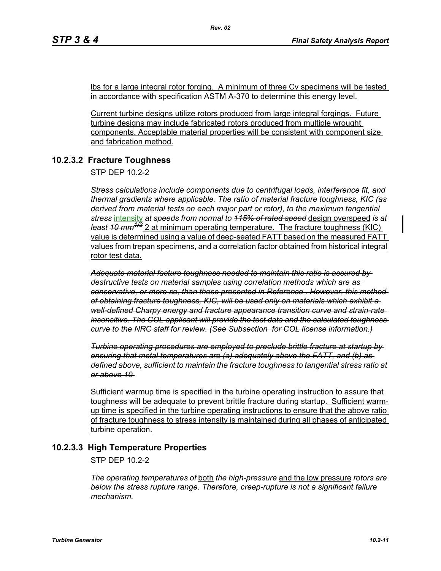lbs for a large integral rotor forging. A minimum of three Cv specimens will be tested in accordance with specification ASTM A-370 to determine this energy level.

Current turbine designs utilize rotors produced from large integral forgings. Future turbine designs may include fabricated rotors produced from multiple wrought components. Acceptable material properties will be consistent with component size and fabrication method.

# **10.2.3.2 Fracture Toughness**

STP DFP 10.2-2

*Stress calculations include components due to centrifugal loads, interference fit, and thermal gradients where applicable. The ratio of material fracture toughness, KIC (as derived from material tests on each major part or rotor), to the maximum tangential stress* intensity *at speeds from normal to 115% of rated speed* design overspeed *is at least 10 mm1/2* 2 at minimum operating temperature. The fracture toughness (KIC) value is determined using a value of deep-seated FATT based on the measured FATT values from trepan specimens, and a correlation factor obtained from historical integral rotor test data.

*Adequate material facture toughness needed to maintain this ratio is assured by destructive tests on material samples using correlation methods which are as conservative, or more so, than those presented in Reference . However, this method of obtaining fracture toughness, KIC, will be used only on materials which exhibit a well-defined Charpy energy and fracture appearance transition curve and strain-rate insensitive. The COL applicant will provide the test data and the calculated toughness curve to the NRC staff for review. (See Subsection for COL license information.)*

*Turbine operating procedures are employed to preclude brittle fracture at startup by ensuring that metal temperatures are (a) adequately above the FATT, and (b) as defined above, sufficient to maintain the fracture toughness to tangential stress ratio at or above 10* 

Sufficient warmup time is specified in the turbine operating instruction to assure that toughness will be adequate to prevent brittle fracture during startup. Sufficient warmup time is specified in the turbine operating instructions to ensure that the above ratio of fracture toughness to stress intensity is maintained during all phases of anticipated turbine operation.

# **10.2.3.3 High Temperature Properties**

STP DEP 10.2-2

*The operating temperatures of* both *the high-pressure* and the low pressure *rotors are below the stress rupture range. Therefore, creep-rupture is not a significant failure mechanism.*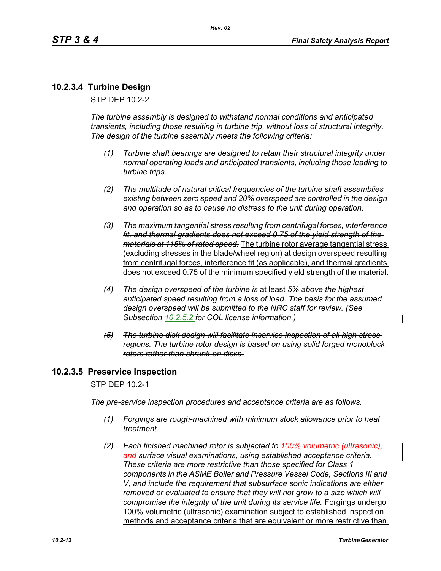# **10.2.3.4 Turbine Design**

STP DEP 10.2-2

*The turbine assembly is designed to withstand normal conditions and anticipated transients, including those resulting in turbine trip, without loss of structural integrity. The design of the turbine assembly meets the following criteria:* 

- *(1) Turbine shaft bearings are designed to retain their structural integrity under normal operating loads and anticipated transients, including those leading to turbine trips.*
- *(2) The multitude of natural critical frequencies of the turbine shaft assemblies existing between zero speed and 20% overspeed are controlled in the design and operation so as to cause no distress to the unit during operation.*
- *(3) The maximum tangential stress resulting from centrifugal forces, interference fit, and thermal gradients does not exceed 0.75 of the yield strength of the materials at 115% of rated speed.* The turbine rotor average tangential stress (excluding stresses in the blade/wheel region) at design overspeed resulting from centrifugal forces, interference fit (as applicable), and thermal gradients does not exceed 0.75 of the minimum specified yield strength of the material.
- *(4) The design overspeed of the turbine is* at least *5% above the highest anticipated speed resulting from a loss of load. The basis for the assumed design overspeed will be submitted to the NRC staff for review. (See Subsection 10.2.5.2 for COL license information.)*
- *(5) The turbine disk design will facilitate inservice inspection of all high stress regions. The turbine rotor design is based on using solid forged monoblock rotors rather than shrunk-on disks.*

## **10.2.3.5 Preservice Inspection**

STP DEP 10.2-1

*The pre-service inspection procedures and acceptance criteria are as follows.*

- *(1) Forgings are rough-machined with minimum stock allowance prior to heat treatment.*
- (2) Each finished machined rotor is subjected to 400% volumetric (ultrasonic) *and surface visual examinations, using established acceptance criteria. These criteria are more restrictive than those specified for Class 1 components in the ASME Boiler and Pressure Vessel Code, Sections III and V, and include the requirement that subsurface sonic indications are either removed or evaluated to ensure that they will not grow to a size which will compromise the integrity of the unit during its service life.* Forgings undergo 100% volumetric (ultrasonic) examination subject to established inspection methods and acceptance criteria that are equivalent or more restrictive than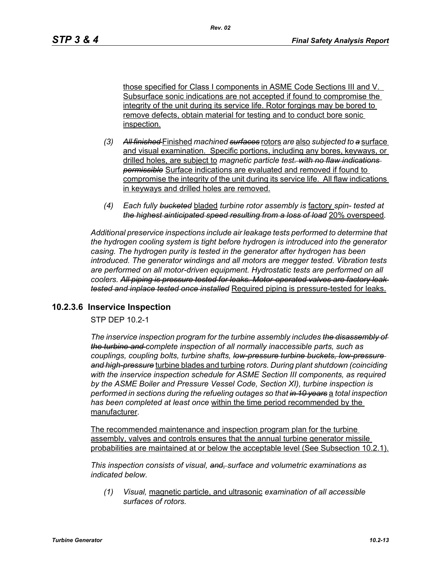those specified for Class I components in ASME Code Sections III and V. Subsurface sonic indications are not accepted if found to compromise the integrity of the unit during its service life. Rotor forgings may be bored to remove defects, obtain material for testing and to conduct bore sonic inspection.

- *(3) All finished* Finished *machined surfaces* rotors *are* also *subjected to a* surface and visual examination. Specific portions, including any bores, keyways, or drilled holes, are subject to *magnetic particle test. with no flaw indications permissible* Surface indications are evaluated and removed if found to compromise the integrity of the unit during its service life. All flaw indications in keyways and drilled holes are removed.
- *(4) Each fully bucketed* bladed *turbine rotor assembly is* factory *spin- tested at the highest ainticipated speed resulting from a loss of load* 20% overspeed*.*

*Additional preservice inspections include air leakage tests performed to determine that the hydrogen cooling system is tight before hydrogen is introduced into the generator casing. The hydrogen purity is tested in the generator after hydrogen has been introduced. The generator windings and all motors are megger tested. Vibration tests are performed on all motor-driven equipment. Hydrostatic tests are performed on all coolers. All piping is pressure tested for leaks. Motor-operated valves are factory leak tested and inplace tested once installed* Required piping is pressure-tested for leaks.

## **10.2.3.6 Inservice Inspection**

STP DEP 10.2-1

*The inservice inspection program for the turbine assembly includes the disassembly of the turbine and complete inspection of all normally inaccessible parts, such as couplings, coupling bolts, turbine shafts, low-pressure turbine buckets, low-pressure and high-pressure* turbine blades and turbine *rotors. During plant shutdown (coinciding with the inservice inspection schedule for ASME Section III components, as required by the ASME Boiler and Pressure Vessel Code, Section XI), turbine inspection is performed in sections during the refueling outages so that in 10 years* a *total inspection has been completed at least once* within the time period recommended by the manufacturer*.* 

The recommended maintenance and inspection program plan for the turbine assembly, valves and controls ensures that the annual turbine generator missile probabilities are maintained at or below the acceptable level (See Subsection 10.2.1).

*This inspection consists of visual, and, surface and volumetric examinations as indicated below.*

*(1) Visual,* magnetic particle, and ultrasonic *examination of all accessible surfaces of rotors.*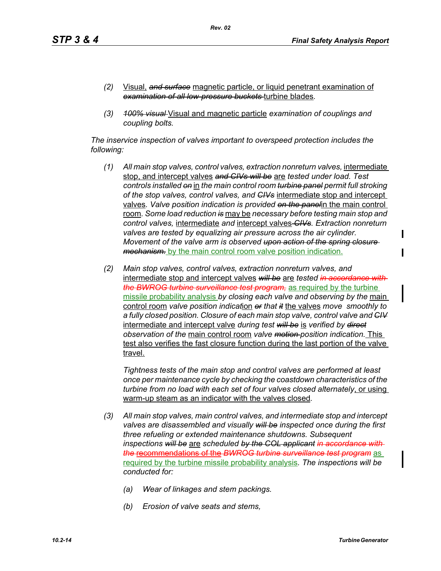- *(2)* Visual, *and surface* magnetic particle, or liquid penetrant examination of *examination of all low-pressure buckets* turbine blades*.*
- *(3) 100% visual* Visual and magnetic particle *examination of couplings and coupling bolts.*

*The inservice inspection of valves important to overspeed protection includes the following:*

- *(1) All main stop valves, control valves, extraction nonreturn valves, intermediate* stop, and intercept valves *and CIVs will be* are *tested under load. Test controls installed on* in *the main control room turbine panel permit full stroking of the stop valves, control valves, and CIVs* intermediate stop and intercept valves*. Valve position indication is provided on the panel*in the main control room*. Some load reduction is* may be *necessary before testing main stop and control valves,* intermediate *and* intercept valves *CIVs. Extraction nonreturn valves are tested by equalizing air pressure across the air cylinder. Movement of the valve arm is observed upon action of the spring closure mechanism.* by the main control room valve position indication.
- *(2) Main stop valves, control valves, extraction nonreturn valves, and*  intermediate stop and intercept valves *will be* are *tested in accordance with the BWROG turbine surveillance test program,* as required by the turbine missile probability analysis *by closing each valve and observing by the* main control room *valve position indicat*ion *or that it* the valves *move smoothly to a fully closed position. Closure of each main stop valve, control valve and CIV* intermediate and intercept valve *during test will be* is *verified by direct observation of the* main control room *valve motion position indication.* This test also verifies the fast closure function during the last portion of the valve travel.

*Tightness tests of the main stop and control valves are performed at least once per maintenance cycle by checking the coastdown characteristics of the turbine from no load with each set of four valves closed alternately*, or using warm-up steam as an indicator with the valves closed*.* 

- *(3) All main stop valves, main control valves, and intermediate stop and intercept valves are disassembled and visually will be inspected once during the first three refueling or extended maintenance shutdowns. Subsequent inspections will be* are *scheduled by the COL applicant in accordance with the* recommendations of the *BWROG turbine surveillance test program* as required by the turbine missile probability analysis*. The inspections will be conducted for:* 
	- *(a) Wear of linkages and stem packings.*
	- *(b) Erosion of valve seats and stems,*

I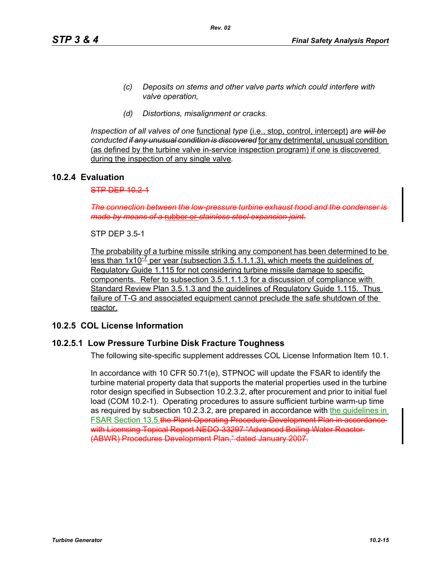- *(c) Deposits on stems and other valve parts which could interfere with valve operation,*
- *(d) Distortions, misalignment or cracks.*

*Inspection of all valves of one* functional *type* (i.e., stop, control, intercept) *are will be conducted if any unusual condition is discovered* for any detrimental, unusual condition (as defined by the turbine valve in-service inspection program) if one is discovered during the inspection of any single valve*.*

# **10.2.4 Evaluation**

 $STP$  DEP  $10.2.1$ 

*The connection between the low-pressure turbine exhaust hood and the condenser is made by means of a* rubber or *stainless steel expansion joint.*

STP DEP 3.5-1

The probability of a turbine missile striking any component has been determined to be less than  $1x10^{-7}$  per year (subsection 3.5.1.1.1.3), which meets the guidelines of Regulatory Guide 1.115 for not considering turbine missile damage to specific components. Refer to subsection 3.5.1.1.1.3 for a discussion of compliance with Standard Review Plan 3.5.1.3 and the guidelines of Regulatory Guide 1.115. Thus failure of T-G and associated equipment cannot preclude the safe shutdown of the reactor.

## **10.2.5 COL License Information**

## **10.2.5.1 Low Pressure Turbine Disk Fracture Toughness**

The following site-specific supplement addresses COL License Information Item 10.1.

In accordance with 10 CFR 50.71(e), STPNOC will update the FSAR to identify the turbine material property data that supports the material properties used in the turbine rotor design specified in Subsection 10.2.3.2, after procurement and prior to initial fuel load (COM 10.2-1). Operating procedures to assure sufficient turbine warm-up time as required by subsection 10.2.3.2, are prepared in accordance with the guidelines in FSAR Section 13.5.the Plant Operating Procedure Development Plan in accordance with Licensing Topical Report NEDO 33297 "Advanced Boiling Water Reactor (ABWR) Procedures Development Plan," dated January 2007.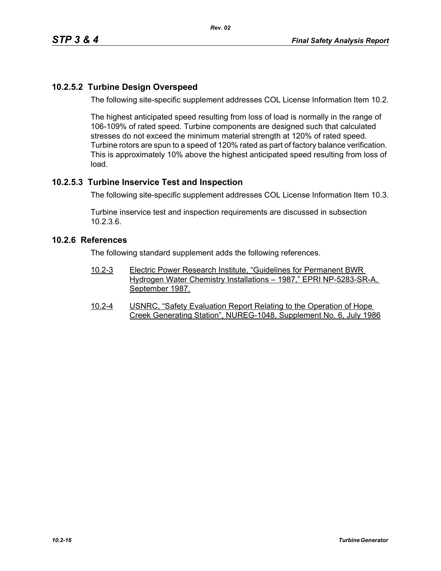# **10.2.5.2 Turbine Design Overspeed**

The following site-specific supplement addresses COL License Information Item 10.2.

The highest anticipated speed resulting from loss of load is normally in the range of 106-109% of rated speed. Turbine components are designed such that calculated stresses do not exceed the minimum material strength at 120% of rated speed. Turbine rotors are spun to a speed of 120% rated as part of factory balance verification. This is approximately 10% above the highest anticipated speed resulting from loss of load.

# **10.2.5.3 Turbine Inservice Test and Inspection**

The following site-specific supplement addresses COL License Information Item 10.3.

Turbine inservice test and inspection requirements are discussed in subsection 10.2.3.6.

# **10.2.6 References**

The following standard supplement adds the following references.

- 10.2-3 Electric Power Research Institute, "Guidelines for Permanent BWR Hydrogen Water Chemistry Installations – 1987," EPRI NP-5283-SR-A, September 1987.
- 10.2-4 USNRC, "Safety Evaluation Report Relating to the Operation of Hope Creek Generating Station", NUREG-1048, Supplement No. 6, July 1986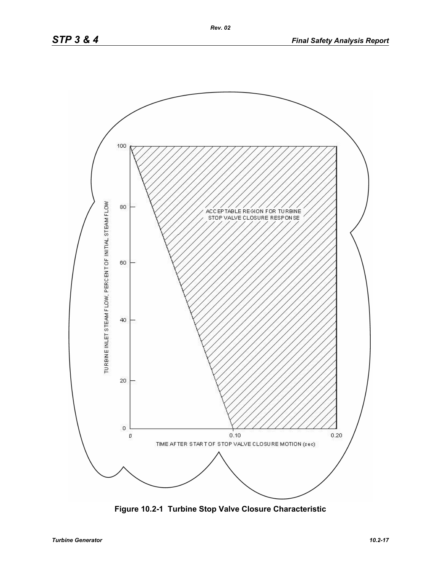

**Figure 10.2-1 Turbine Stop Valve Closure Characteristic**